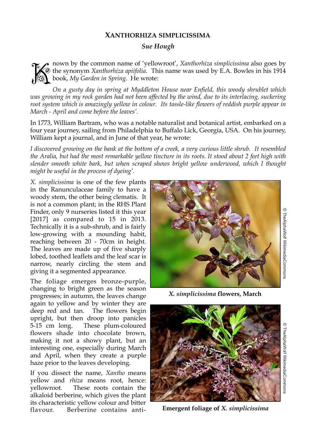## **XANTHORHIZA SIMPLICISSIMA**

## *Sue Hough*

nown by the common name of 'yellowroot', *Xanthorhiza simplicissima* also goes by the synonym *Xanthorhiza apiifolia*. This name was used by E.A. Bowles in his 1914 book, *My Garden in Spring*. He wrote: the synonym *Xanthorhiza apiifolia*. This name was used by E.A. Bowles in his 1914 **book,** *My Garden in Spring*. He wrote:

*On a gusty day in spring at Myddleton House near Enfield, this woody shrublet which was growing in my rock garden had not been affected by the wind, due to its interlacing, suckering root system which is amazingly yellow in colour. Its tassle-like flowers of reddish purple appear in March - April and come before the leaves'.* 

In 1773, William Bartram, who was a notable naturalist and botanical artist, embarked on a four year journey, sailing from Philadelphia to Buffalo Lick, Georgia, USA. On his journey, William kept a journal, and in June of that year, he wrote:

*I discovered growing on the bank at the bottom of a creek, a very curious little shrub. It resembled the Aralia, but had the most remarkable yellow tincture in its roots. It stood about 2 feet high with slender smooth white bark, but when scraped shows bright yellow underwood, which I thought might be useful in the process of dyeing'.*

*X. simplicissima* is one of the few plants in the Ranunculaceae family to have a woody stem, the other being clematis. It is not a common plant; in the RHS Plant Finder, only 9 nurseries listed it this year [2017] as compared to 15 in 2013. Technically it is a sub-shrub, and is fairly low-growing with a mounding habit, reaching between 20 - 70cm in height. The leaves are made up of five sharply lobed, toothed leaflets and the leaf scar is narrow, nearly circling the stem and giving it a segmented appearance.

The foliage emerges bronze-purple, changing to bright green as the season progresses; in autumn, the leaves change again to yellow and by winter they are deep red and tan. The flowers begin upright, but then droop into panicles 5-15 cm long. These plum-coloured flowers shade into chocolate brown, making it not a showy plant, but an interesting one, especially during March and April, when they create a purple haze prior to the leaves developing.

If you dissect the name, *Xantho* means yellow and *rhiza* means root, hence: yellowroot. These roots contain the alkaloid berberine, which gives the plant its characteristic yellow colour and bitter flavour. Berberine contains anti-



*X. simplicissima* **flowers, March**



**Emergent foliage of** *X. simplicissima*